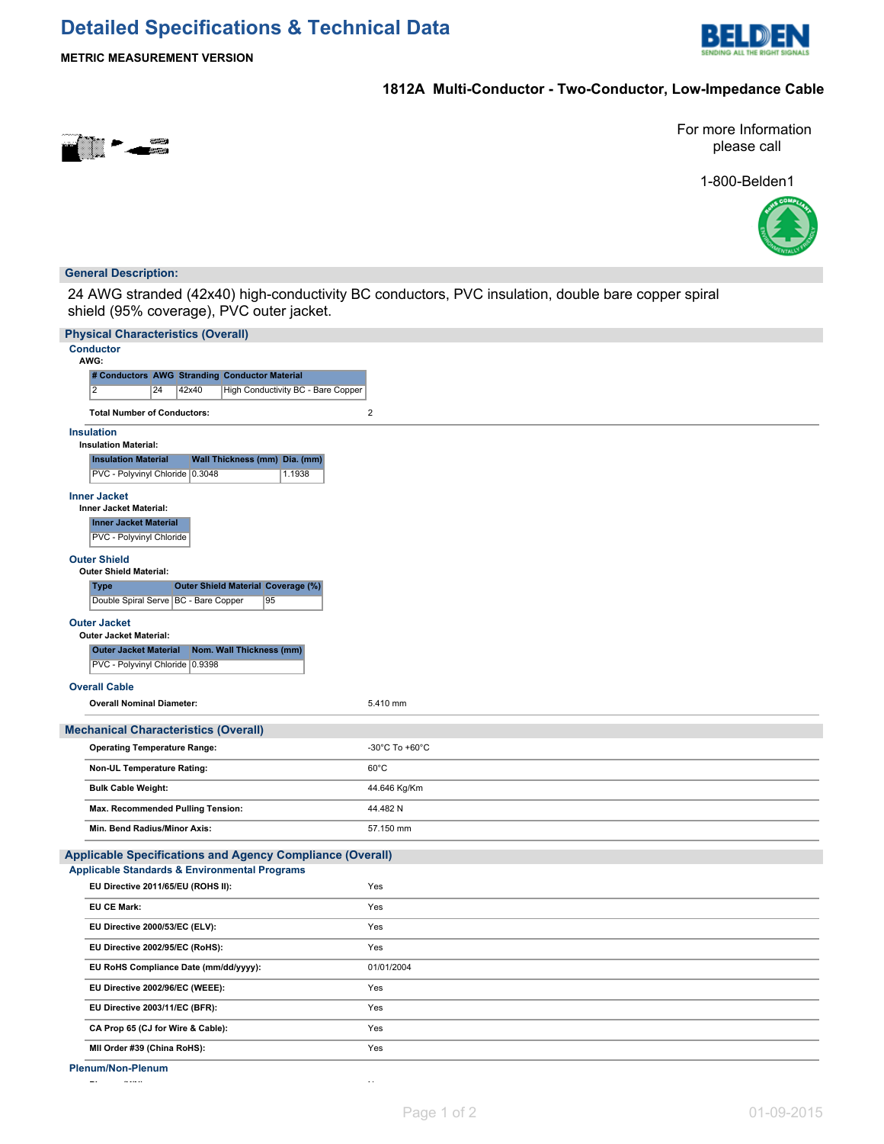# **Detailed Specifications & Technical Data**



**METRIC MEASUREMENT VERSION**

### **1812A Multi-Conductor - Two-Conductor, Low-Impedance Cable**



For more Information please call

1-800-Belden1



### **General Description:**

24 AWG stranded (42x40) high-conductivity BC conductors, PVC insulation, double bare copper spiral shield (95% coverage), PVC outer jacket.

| <b>Physical Characteristics (Overall)</b> |                                                                                                          |       |                               |                                           |                |  |  |  |  |
|-------------------------------------------|----------------------------------------------------------------------------------------------------------|-------|-------------------------------|-------------------------------------------|----------------|--|--|--|--|
| <b>Conductor</b><br>AWG:                  |                                                                                                          |       |                               |                                           |                |  |  |  |  |
|                                           | # Conductors AWG Stranding Conductor Material                                                            |       |                               |                                           |                |  |  |  |  |
|                                           | $\overline{2}$<br>24                                                                                     | 42x40 |                               | <b>High Conductivity BC - Bare Copper</b> |                |  |  |  |  |
|                                           | <b>Total Number of Conductors:</b>                                                                       |       |                               |                                           | $\overline{2}$ |  |  |  |  |
|                                           | <b>Insulation</b><br><b>Insulation Material:</b>                                                         |       |                               |                                           |                |  |  |  |  |
|                                           | <b>Insulation Material</b>                                                                               |       | Wall Thickness (mm) Dia. (mm) |                                           |                |  |  |  |  |
|                                           | PVC - Polyvinyl Chloride 0.3048                                                                          |       |                               | 1.1938                                    |                |  |  |  |  |
|                                           | <b>Inner Jacket</b><br><b>Inner Jacket Material:</b>                                                     |       |                               |                                           |                |  |  |  |  |
|                                           | <b>Inner Jacket Material</b><br><b>PVC - Polyvinyl Chloride</b>                                          |       |                               |                                           |                |  |  |  |  |
|                                           | <b>Outer Shield</b><br><b>Outer Shield Material:</b>                                                     |       |                               |                                           |                |  |  |  |  |
|                                           | <b>Outer Shield Material Coverage (%)</b><br><b>Type</b><br>Double Spiral Serve   BC - Bare Copper<br>95 |       |                               |                                           |                |  |  |  |  |
|                                           | <b>Outer Jacket</b><br><b>Outer Jacket Material:</b>                                                     |       |                               |                                           |                |  |  |  |  |
|                                           | <b>Outer Jacket Material</b>                                                                             |       | Nom. Wall Thickness (mm)      |                                           |                |  |  |  |  |
|                                           | PVC - Polyvinyl Chloride 0.9398                                                                          |       |                               |                                           |                |  |  |  |  |
|                                           | <b>Overall Cable</b>                                                                                     |       |                               |                                           |                |  |  |  |  |
|                                           | <b>Overall Nominal Diameter:</b>                                                                         |       |                               |                                           | 5.410 mm       |  |  |  |  |
|                                           | <b>Mechanical Characteristics (Overall)</b>                                                              |       |                               |                                           |                |  |  |  |  |
|                                           | <b>Operating Temperature Range:</b>                                                                      |       |                               |                                           | -30°C To +60°C |  |  |  |  |
|                                           | Non-UL Temperature Rating:                                                                               |       |                               |                                           | $60^{\circ}$ C |  |  |  |  |
|                                           | <b>Bulk Cable Weight:</b>                                                                                |       |                               |                                           | 44.646 Kg/Km   |  |  |  |  |
|                                           | Max. Recommended Pulling Tension:                                                                        |       |                               |                                           | 44.482 N       |  |  |  |  |
|                                           | Min. Bend Radius/Minor Axis:                                                                             |       |                               |                                           | 57.150 mm      |  |  |  |  |
|                                           | <b>Applicable Specifications and Agency Compliance (Overall)</b>                                         |       |                               |                                           |                |  |  |  |  |
|                                           | <b>Applicable Standards &amp; Environmental Programs</b>                                                 |       |                               |                                           |                |  |  |  |  |
|                                           | EU Directive 2011/65/EU (ROHS II):                                                                       |       |                               |                                           | Yes            |  |  |  |  |
|                                           | <b>EU CE Mark:</b>                                                                                       |       |                               |                                           | Yes            |  |  |  |  |
|                                           | EU Directive 2000/53/EC (ELV):                                                                           |       |                               |                                           | Yes            |  |  |  |  |
|                                           | EU Directive 2002/95/EC (RoHS):                                                                          |       |                               |                                           | Yes            |  |  |  |  |
|                                           | EU RoHS Compliance Date (mm/dd/yyyy):                                                                    |       |                               |                                           | 01/01/2004     |  |  |  |  |
|                                           | EU Directive 2002/96/EC (WEEE):                                                                          |       |                               |                                           | Yes            |  |  |  |  |
|                                           | EU Directive 2003/11/EC (BFR):                                                                           |       |                               |                                           | Yes            |  |  |  |  |
|                                           | CA Prop 65 (CJ for Wire & Cable):                                                                        |       |                               |                                           | Yes            |  |  |  |  |
|                                           | MII Order #39 (China RoHS):                                                                              |       |                               |                                           | Yes            |  |  |  |  |
|                                           | <b>Plenum/Non-Plenum</b>                                                                                 |       |                               |                                           |                |  |  |  |  |

**Plenum (Y/N):** Now and Note that the plenum (Y/N): Now and No. 1999. The plenum of the plenum of the plenum of the plenum of the plenum of the plenum of the plenum of the plenum of the plenum of the plenum of the plenum o